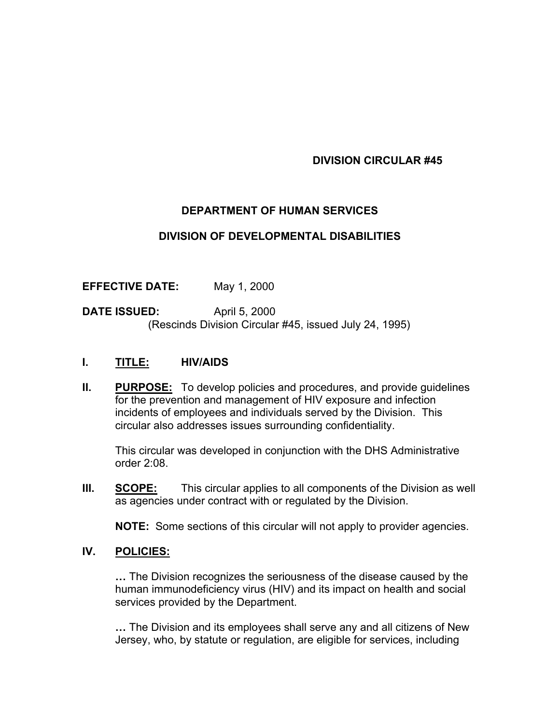### **DIVISION CIRCULAR #45**

# **DEPARTMENT OF HUMAN SERVICES**

#### **DIVISION OF DEVELOPMENTAL DISABILITIES**

**EFFECTIVE DATE:** May 1, 2000

**DATE ISSUED:** April 5, 2000 (Rescinds Division Circular #45, issued July 24, 1995)

### **I. TITLE: HIV/AIDS**

**II.** PURPOSE: To develop policies and procedures, and provide guidelines for the prevention and management of HIV exposure and infection incidents of employees and individuals served by the Division. This circular also addresses issues surrounding confidentiality.

This circular was developed in conjunction with the DHS Administrative order 2:08.

**III. SCOPE:** This circular applies to all components of the Division as well as agencies under contract with or regulated by the Division.

**NOTE:** Some sections of this circular will not apply to provider agencies.

#### **IV. POLICIES:**

**…** The Division recognizes the seriousness of the disease caused by the human immunodeficiency virus (HIV) and its impact on health and social services provided by the Department.

**…** The Division and its employees shall serve any and all citizens of New Jersey, who, by statute or regulation, are eligible for services, including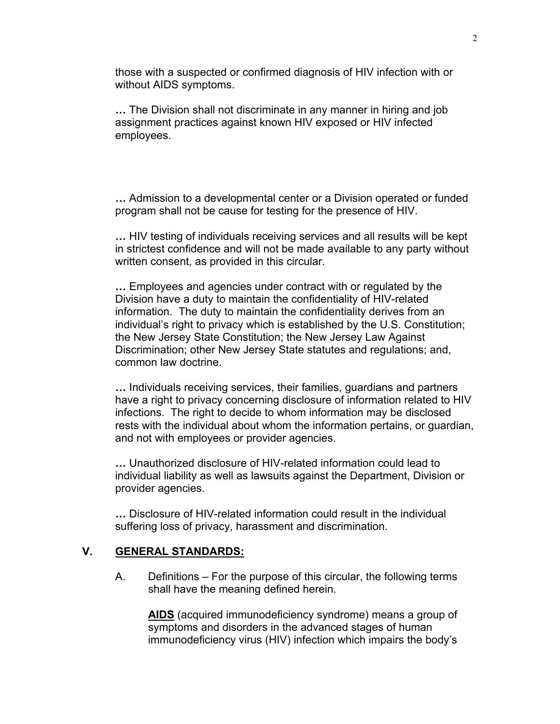those with a suspected or confirmed diagnosis of HIV infection with or without AIDS symptoms.

**…** The Division shall not discriminate in any manner in hiring and job assignment practices against known HIV exposed or HIV infected employees.

**…** Admission to a developmental center or a Division operated or funded program shall not be cause for testing for the presence of HIV.

**…** HIV testing of individuals receiving services and all results will be kept in strictest confidence and will not be made available to any party without written consent, as provided in this circular.

**…** Employees and agencies under contract with or regulated by the Division have a duty to maintain the confidentiality of HIV-related information. The duty to maintain the confidentiality derives from an individual's right to privacy which is established by the U.S. Constitution; the New Jersey State Constitution; the New Jersey Law Against Discrimination; other New Jersey State statutes and regulations; and, common law doctrine.

**…** Individuals receiving services, their families, guardians and partners have a right to privacy concerning disclosure of information related to HIV infections. The right to decide to whom information may be disclosed rests with the individual about whom the information pertains, or guardian, and not with employees or provider agencies.

**…** Unauthorized disclosure of HIV-related information could lead to individual liability as well as lawsuits against the Department, Division or provider agencies.

**…** Disclosure of HIV-related information could result in the individual suffering loss of privacy, harassment and discrimination.

#### **V. GENERAL STANDARDS:**

A. Definitions – For the purpose of this circular, the following terms shall have the meaning defined herein.

**AIDS** (acquired immunodeficiency syndrome) means a group of symptoms and disorders in the advanced stages of human immunodeficiency virus (HIV) infection which impairs the body's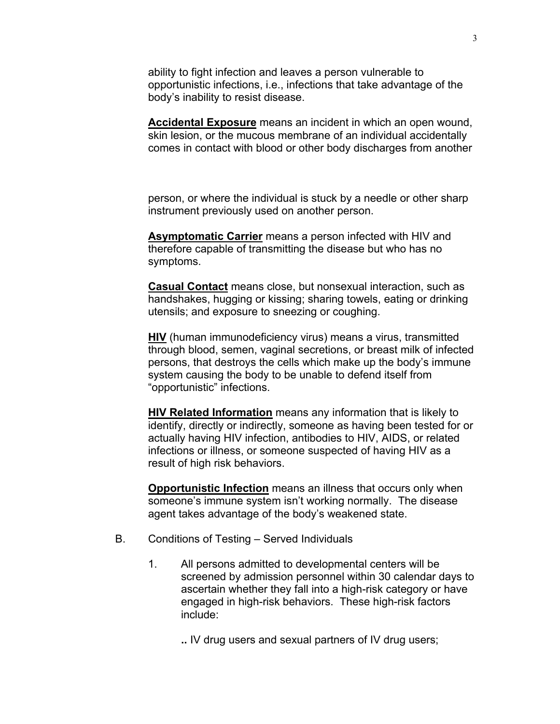ability to fight infection and leaves a person vulnerable to opportunistic infections, i.e., infections that take advantage of the body's inability to resist disease.

**Accidental Exposure** means an incident in which an open wound, skin lesion, or the mucous membrane of an individual accidentally comes in contact with blood or other body discharges from another

person, or where the individual is stuck by a needle or other sharp instrument previously used on another person.

**Asymptomatic Carrier** means a person infected with HIV and therefore capable of transmitting the disease but who has no symptoms.

**Casual Contact** means close, but nonsexual interaction, such as handshakes, hugging or kissing; sharing towels, eating or drinking utensils; and exposure to sneezing or coughing.

**HIV** (human immunodeficiency virus) means a virus, transmitted through blood, semen, vaginal secretions, or breast milk of infected persons, that destroys the cells which make up the body's immune system causing the body to be unable to defend itself from "opportunistic" infections.

**HIV Related Information** means any information that is likely to identify, directly or indirectly, someone as having been tested for or actually having HIV infection, antibodies to HIV, AIDS, or related infections or illness, or someone suspected of having HIV as a result of high risk behaviors.

**Opportunistic Infection** means an illness that occurs only when someone's immune system isn't working normally. The disease agent takes advantage of the body's weakened state.

- B. Conditions of Testing Served Individuals
	- 1. All persons admitted to developmental centers will be screened by admission personnel within 30 calendar days to ascertain whether they fall into a high-risk category or have engaged in high-risk behaviors. These high-risk factors include:

**..** IV drug users and sexual partners of IV drug users;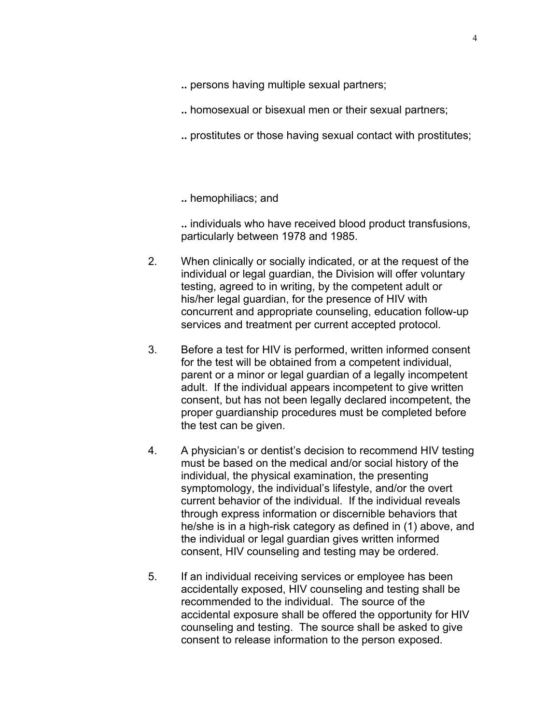- **..** persons having multiple sexual partners;
- **..** homosexual or bisexual men or their sexual partners;
- **..** prostitutes or those having sexual contact with prostitutes;

**..** hemophiliacs; and

**..** individuals who have received blood product transfusions, particularly between 1978 and 1985.

- 2. When clinically or socially indicated, or at the request of the individual or legal guardian, the Division will offer voluntary testing, agreed to in writing, by the competent adult or his/her legal guardian, for the presence of HIV with concurrent and appropriate counseling, education follow-up services and treatment per current accepted protocol.
- 3. Before a test for HIV is performed, written informed consent for the test will be obtained from a competent individual, parent or a minor or legal guardian of a legally incompetent adult. If the individual appears incompetent to give written consent, but has not been legally declared incompetent, the proper guardianship procedures must be completed before the test can be given.
- 4. A physician's or dentist's decision to recommend HIV testing must be based on the medical and/or social history of the individual, the physical examination, the presenting symptomology, the individual's lifestyle, and/or the overt current behavior of the individual. If the individual reveals through express information or discernible behaviors that he/she is in a high-risk category as defined in (1) above, and the individual or legal guardian gives written informed consent, HIV counseling and testing may be ordered.
- 5. If an individual receiving services or employee has been accidentally exposed, HIV counseling and testing shall be recommended to the individual. The source of the accidental exposure shall be offered the opportunity for HIV counseling and testing. The source shall be asked to give consent to release information to the person exposed.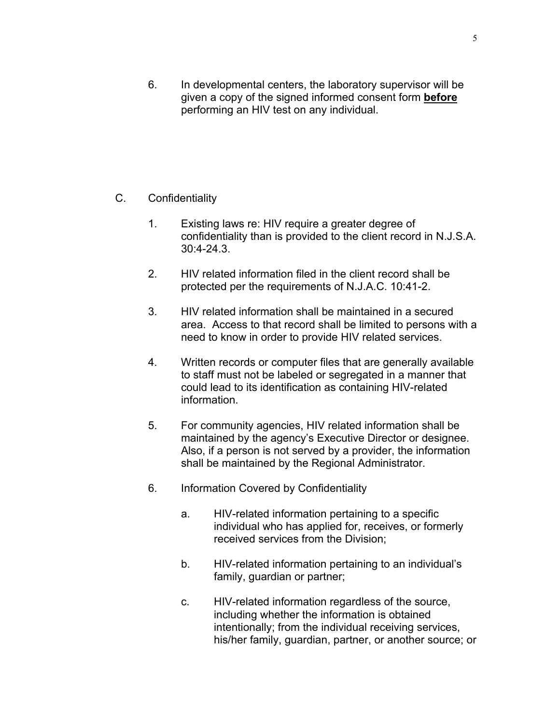6. In developmental centers, the laboratory supervisor will be given a copy of the signed informed consent form **before** performing an HIV test on any individual.

## C. Confidentiality

- 1. Existing laws re: HIV require a greater degree of confidentiality than is provided to the client record in N.J.S.A. 30:4-24.3.
- 2. HIV related information filed in the client record shall be protected per the requirements of N.J.A.C. 10:41-2.
- 3. HIV related information shall be maintained in a secured area. Access to that record shall be limited to persons with a need to know in order to provide HIV related services.
- 4. Written records or computer files that are generally available to staff must not be labeled or segregated in a manner that could lead to its identification as containing HIV-related information.
- 5. For community agencies, HIV related information shall be maintained by the agency's Executive Director or designee. Also, if a person is not served by a provider, the information shall be maintained by the Regional Administrator.
- 6. Information Covered by Confidentiality
	- a. HIV-related information pertaining to a specific individual who has applied for, receives, or formerly received services from the Division;
	- b. HIV-related information pertaining to an individual's family, guardian or partner;
	- c. HIV-related information regardless of the source, including whether the information is obtained intentionally; from the individual receiving services, his/her family, guardian, partner, or another source; or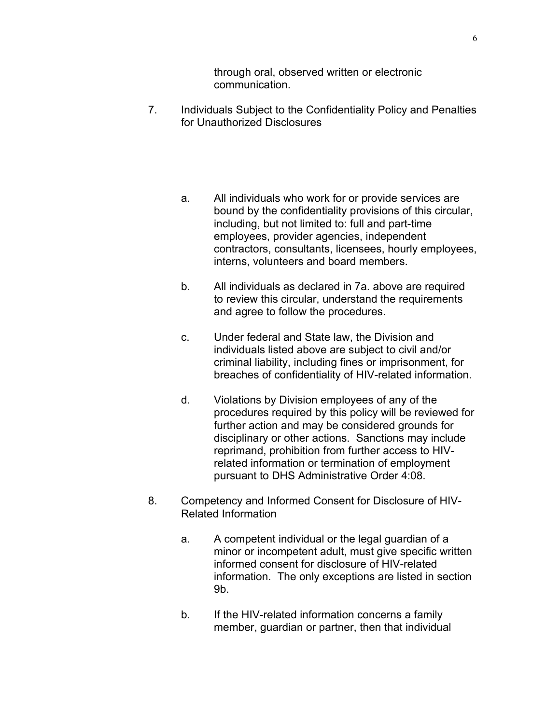through oral, observed written or electronic communication.

- 7. Individuals Subject to the Confidentiality Policy and Penalties for Unauthorized Disclosures
	- a. All individuals who work for or provide services are bound by the confidentiality provisions of this circular, including, but not limited to: full and part-time employees, provider agencies, independent contractors, consultants, licensees, hourly employees, interns, volunteers and board members.
	- b. All individuals as declared in 7a. above are required to review this circular, understand the requirements and agree to follow the procedures.
	- c. Under federal and State law, the Division and individuals listed above are subject to civil and/or criminal liability, including fines or imprisonment, for breaches of confidentiality of HIV-related information.
	- d. Violations by Division employees of any of the procedures required by this policy will be reviewed for further action and may be considered grounds for disciplinary or other actions. Sanctions may include reprimand, prohibition from further access to HIVrelated information or termination of employment pursuant to DHS Administrative Order 4:08.
- 8. Competency and Informed Consent for Disclosure of HIV-Related Information
	- a. A competent individual or the legal guardian of a minor or incompetent adult, must give specific written informed consent for disclosure of HIV-related information. The only exceptions are listed in section 9b.
	- b. If the HIV-related information concerns a family member, guardian or partner, then that individual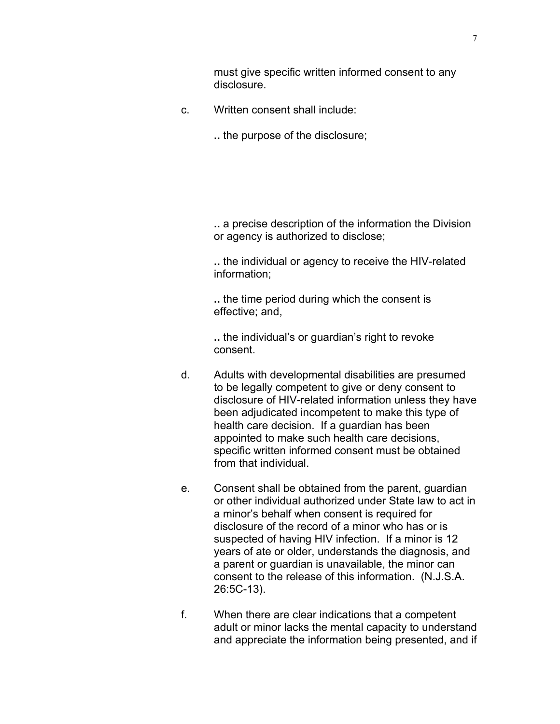must give specific written informed consent to any disclosure.

- c. Written consent shall include:
	- **..** the purpose of the disclosure;

**..** a precise description of the information the Division or agency is authorized to disclose;

**..** the individual or agency to receive the HIV-related information;

**..** the time period during which the consent is effective; and,

**..** the individual's or guardian's right to revoke consent.

- d. Adults with developmental disabilities are presumed to be legally competent to give or deny consent to disclosure of HIV-related information unless they have been adjudicated incompetent to make this type of health care decision. If a guardian has been appointed to make such health care decisions, specific written informed consent must be obtained from that individual.
- e. Consent shall be obtained from the parent, guardian or other individual authorized under State law to act in a minor's behalf when consent is required for disclosure of the record of a minor who has or is suspected of having HIV infection. If a minor is 12 years of ate or older, understands the diagnosis, and a parent or guardian is unavailable, the minor can consent to the release of this information. (N.J.S.A. 26:5C-13).
- f. When there are clear indications that a competent adult or minor lacks the mental capacity to understand and appreciate the information being presented, and if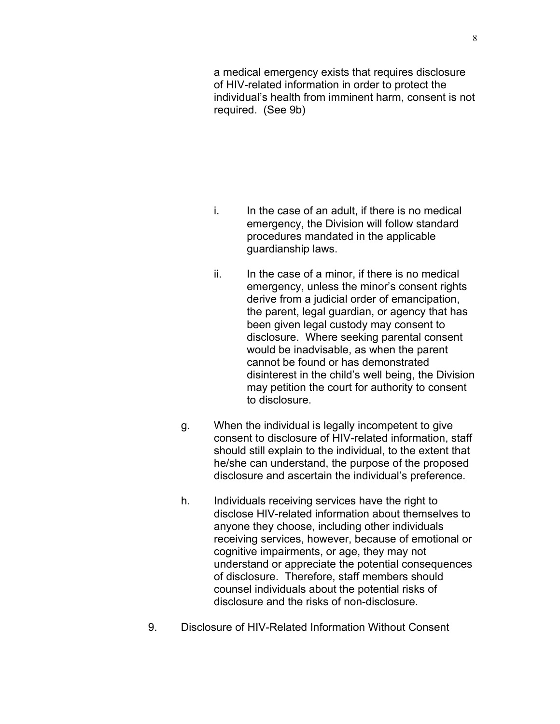a medical emergency exists that requires disclosure of HIV-related information in order to protect the individual's health from imminent harm, consent is not required. (See 9b)

- i. In the case of an adult, if there is no medical emergency, the Division will follow standard procedures mandated in the applicable guardianship laws.
- ii. In the case of a minor, if there is no medical emergency, unless the minor's consent rights derive from a judicial order of emancipation, the parent, legal guardian, or agency that has been given legal custody may consent to disclosure. Where seeking parental consent would be inadvisable, as when the parent cannot be found or has demonstrated disinterest in the child's well being, the Division may petition the court for authority to consent to disclosure.
- g. When the individual is legally incompetent to give consent to disclosure of HIV-related information, staff should still explain to the individual, to the extent that he/she can understand, the purpose of the proposed disclosure and ascertain the individual's preference.
- h. Individuals receiving services have the right to disclose HIV-related information about themselves to anyone they choose, including other individuals receiving services, however, because of emotional or cognitive impairments, or age, they may not understand or appreciate the potential consequences of disclosure. Therefore, staff members should counsel individuals about the potential risks of disclosure and the risks of non-disclosure.
- 9. Disclosure of HIV-Related Information Without Consent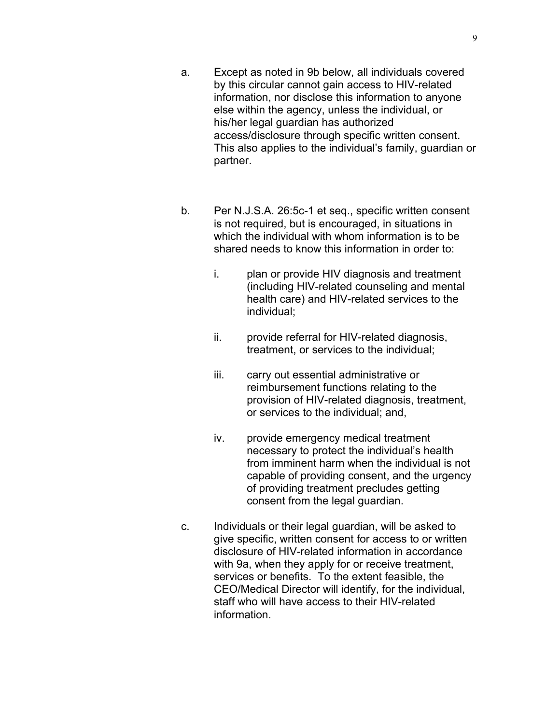- a. Except as noted in 9b below, all individuals covered by this circular cannot gain access to HIV-related information, nor disclose this information to anyone else within the agency, unless the individual, or his/her legal guardian has authorized access/disclosure through specific written consent. This also applies to the individual's family, guardian or partner.
- b. Per N.J.S.A. 26:5c-1 et seq., specific written consent is not required, but is encouraged, in situations in which the individual with whom information is to be shared needs to know this information in order to:
	- i. plan or provide HIV diagnosis and treatment (including HIV-related counseling and mental health care) and HIV-related services to the individual;
	- ii. provide referral for HIV-related diagnosis, treatment, or services to the individual;
	- iii. carry out essential administrative or reimbursement functions relating to the provision of HIV-related diagnosis, treatment, or services to the individual; and,
	- iv. provide emergency medical treatment necessary to protect the individual's health from imminent harm when the individual is not capable of providing consent, and the urgency of providing treatment precludes getting consent from the legal guardian.
- c. Individuals or their legal guardian, will be asked to give specific, written consent for access to or written disclosure of HIV-related information in accordance with 9a, when they apply for or receive treatment, services or benefits. To the extent feasible, the CEO/Medical Director will identify, for the individual, staff who will have access to their HIV-related information.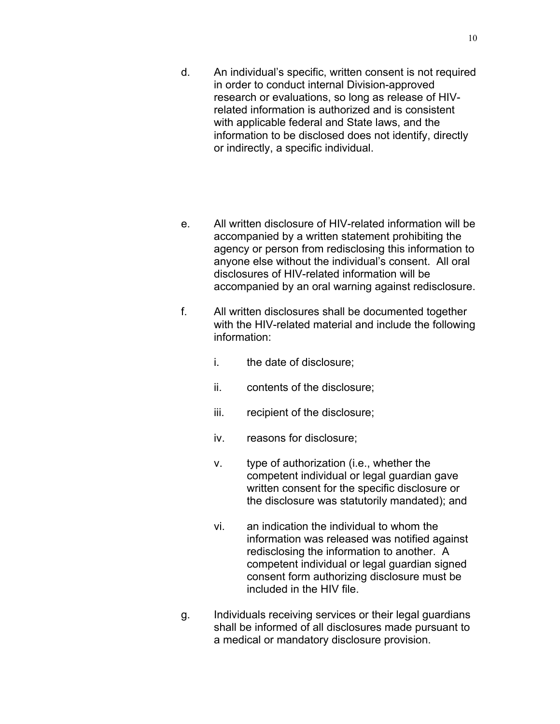- d. An individual's specific, written consent is not required in order to conduct internal Division-approved research or evaluations, so long as release of HIVrelated information is authorized and is consistent with applicable federal and State laws, and the information to be disclosed does not identify, directly or indirectly, a specific individual.
- e. All written disclosure of HIV-related information will be accompanied by a written statement prohibiting the agency or person from redisclosing this information to anyone else without the individual's consent. All oral disclosures of HIV-related information will be accompanied by an oral warning against redisclosure.
- f. All written disclosures shall be documented together with the HIV-related material and include the following information:
	- i. the date of disclosure;
	- ii. contents of the disclosure;
	- iii. recipient of the disclosure;
	- iv. reasons for disclosure;
	- v. type of authorization (i.e., whether the competent individual or legal guardian gave written consent for the specific disclosure or the disclosure was statutorily mandated); and
	- vi. an indication the individual to whom the information was released was notified against redisclosing the information to another. A competent individual or legal guardian signed consent form authorizing disclosure must be included in the HIV file.
- g. Individuals receiving services or their legal guardians shall be informed of all disclosures made pursuant to a medical or mandatory disclosure provision.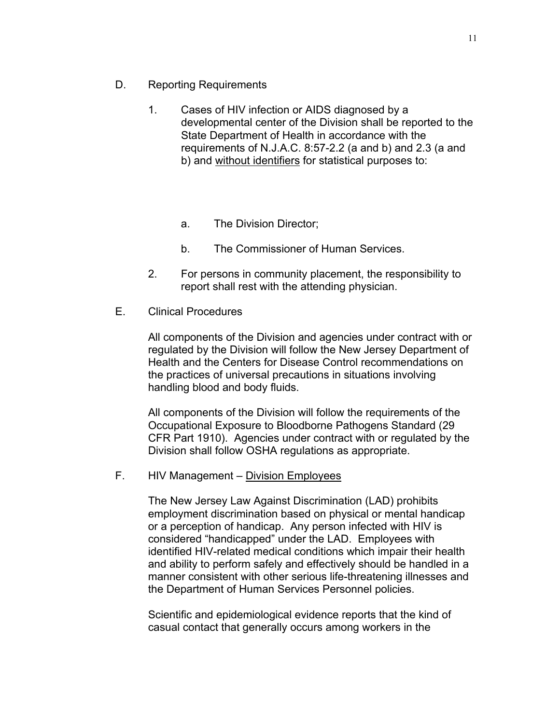- D. Reporting Requirements
	- 1. Cases of HIV infection or AIDS diagnosed by a developmental center of the Division shall be reported to the State Department of Health in accordance with the requirements of N.J.A.C. 8:57-2.2 (a and b) and 2.3 (a and b) and without identifiers for statistical purposes to:
		- a. The Division Director;
		- b. The Commissioner of Human Services.
	- 2. For persons in community placement, the responsibility to report shall rest with the attending physician.
- E. Clinical Procedures

All components of the Division and agencies under contract with or regulated by the Division will follow the New Jersey Department of Health and the Centers for Disease Control recommendations on the practices of universal precautions in situations involving handling blood and body fluids.

All components of the Division will follow the requirements of the Occupational Exposure to Bloodborne Pathogens Standard (29 CFR Part 1910). Agencies under contract with or regulated by the Division shall follow OSHA regulations as appropriate.

F. HIV Management – Division Employees

The New Jersey Law Against Discrimination (LAD) prohibits employment discrimination based on physical or mental handicap or a perception of handicap. Any person infected with HIV is considered "handicapped" under the LAD. Employees with identified HIV-related medical conditions which impair their health and ability to perform safely and effectively should be handled in a manner consistent with other serious life-threatening illnesses and the Department of Human Services Personnel policies.

Scientific and epidemiological evidence reports that the kind of casual contact that generally occurs among workers in the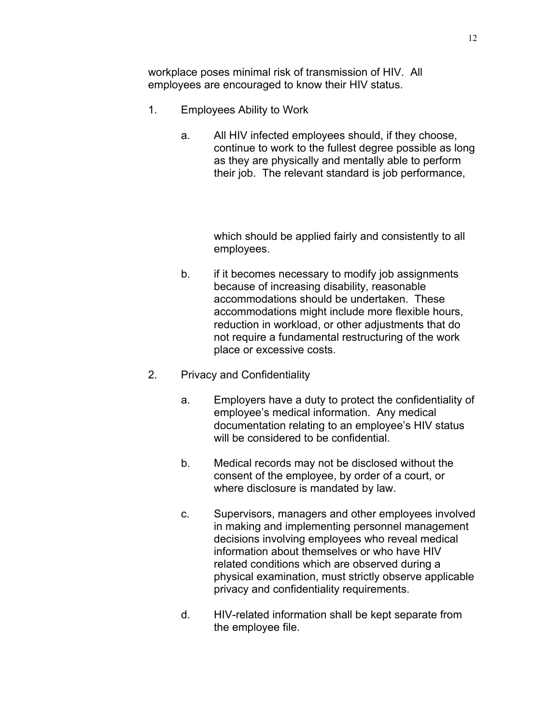workplace poses minimal risk of transmission of HIV. All employees are encouraged to know their HIV status.

- 1. Employees Ability to Work
	- a. All HIV infected employees should, if they choose, continue to work to the fullest degree possible as long as they are physically and mentally able to perform their job. The relevant standard is job performance,

which should be applied fairly and consistently to all employees.

- b. if it becomes necessary to modify job assignments because of increasing disability, reasonable accommodations should be undertaken. These accommodations might include more flexible hours, reduction in workload, or other adjustments that do not require a fundamental restructuring of the work place or excessive costs.
- 2. Privacy and Confidentiality
	- a. Employers have a duty to protect the confidentiality of employee's medical information. Any medical documentation relating to an employee's HIV status will be considered to be confidential.
	- b. Medical records may not be disclosed without the consent of the employee, by order of a court, or where disclosure is mandated by law.
	- c. Supervisors, managers and other employees involved in making and implementing personnel management decisions involving employees who reveal medical information about themselves or who have HIV related conditions which are observed during a physical examination, must strictly observe applicable privacy and confidentiality requirements.
	- d. HIV-related information shall be kept separate from the employee file.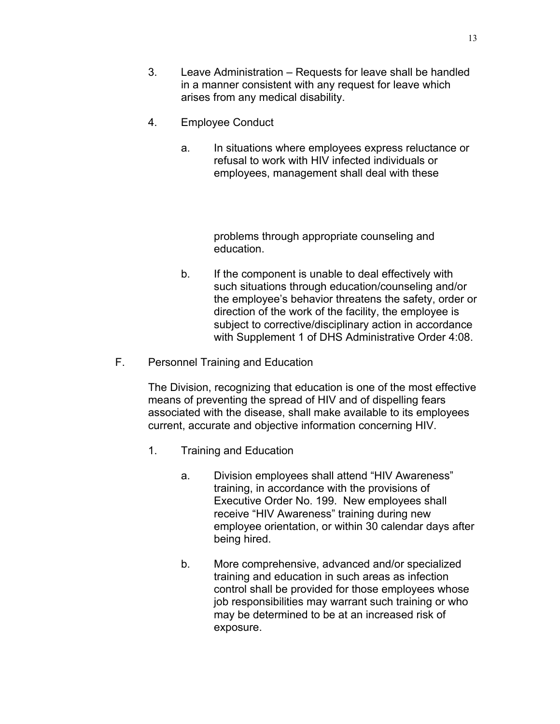- 3. Leave Administration Requests for leave shall be handled in a manner consistent with any request for leave which arises from any medical disability.
- 4. Employee Conduct
	- a. In situations where employees express reluctance or refusal to work with HIV infected individuals or employees, management shall deal with these

problems through appropriate counseling and education.

- b. If the component is unable to deal effectively with such situations through education/counseling and/or the employee's behavior threatens the safety, order or direction of the work of the facility, the employee is subject to corrective/disciplinary action in accordance with Supplement 1 of DHS Administrative Order 4:08.
- F. Personnel Training and Education

The Division, recognizing that education is one of the most effective means of preventing the spread of HIV and of dispelling fears associated with the disease, shall make available to its employees current, accurate and objective information concerning HIV.

- 1. Training and Education
	- a. Division employees shall attend "HIV Awareness" training, in accordance with the provisions of Executive Order No. 199. New employees shall receive "HIV Awareness" training during new employee orientation, or within 30 calendar days after being hired.
	- b. More comprehensive, advanced and/or specialized training and education in such areas as infection control shall be provided for those employees whose job responsibilities may warrant such training or who may be determined to be at an increased risk of exposure.